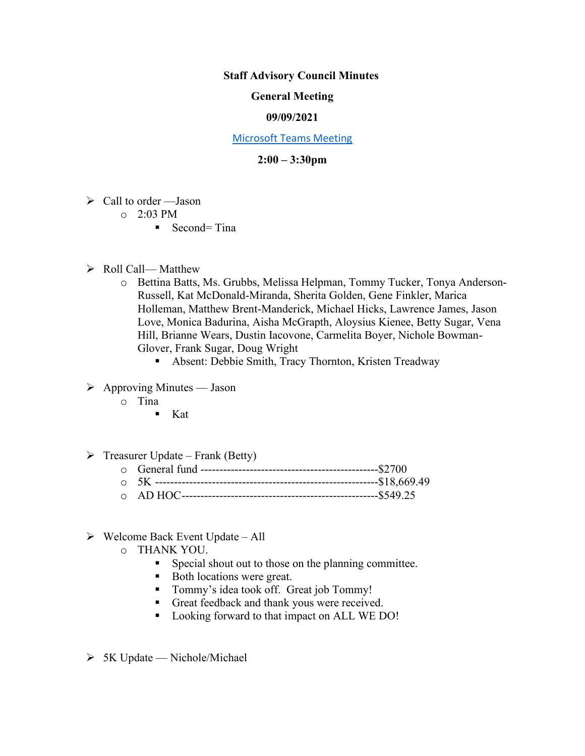### **Staff Advisory Council Minutes**

# **General Meeting**

# **09/09/2021**

#### [Microsoft Teams Meeting](https://nam05.safelinks.protection.outlook.com/ap/t-59584e83/?url=https%3A%2F%2Fteams.microsoft.com%2Fl%2Fmeetup-join%2F19%253ameeting_MzkxMmQzZTYtNGNiMi00YTJjLWI3MTMtOTlhMmNmOTE4Zjhj%2540thread.v2%2F0%3Fcontext%3D%257b%2522Tid%2522%253a%252260a9d377-c827-41a1-bbf0-1aad34db4c89%2522%252c%2522Oid%2522%253a%2522d493b17b-9cb3-43b8-b2df-d22f32aad747%2522%257d&data=02%7C01%7Cakienee1%40cscc.edu%7Cd9d721b99f4d408c215208d7647bc8db%7C60a9d377c82741a1bbf01aad34db4c89%7C0%7C0%7C637088355127916457&sdata=hlB7BeFFj4%2Fu5SHTbph%2BpYbfXevGFZ5zd4DxSsQlyzY%3D&reserved=0)

### **2:00 – 3:30pm**

- $\triangleright$  Call to order Jason
	- $O = 2:03 \text{ PM}$ 
		- $\blacksquare$  Second= Tina
- ➢ Roll Call— Matthew
	- o Bettina Batts, Ms. Grubbs, Melissa Helpman, Tommy Tucker, Tonya Anderson-Russell, Kat McDonald-Miranda, Sherita Golden, Gene Finkler, Marica Holleman, Matthew Brent-Manderick, Michael Hicks, Lawrence James, Jason Love, Monica Badurina, Aisha McGrapth, Aloysius Kienee, Betty Sugar, Vena Hill, Brianne Wears, Dustin Iacovone, Carmelita Boyer, Nichole Bowman-Glover, Frank Sugar, Doug Wright
		- Absent: Debbie Smith, Tracy Thornton, Kristen Treadway
- $\triangleright$  Approving Minutes Jason
	- o Tina
		- $\blacksquare$  Kat

### $\triangleright$  Treasurer Update – Frank (Betty)

- o General fund -----------------------------------------------\$2700
- o 5K -----------------------------------------------------------\$18,669.49
- o AD HOC----------------------------------------------------\$549.25
- $\triangleright$  Welcome Back Event Update All
	- o THANK YOU.
		- **•** Special shout out to those on the planning committee.
		- Both locations were great.
		- Tommy's idea took off. Great job Tommy!
		- Great feedback and thank yous were received.
		- Looking forward to that impact on ALL WE DO!
- $> 5K$  Update Nichole/Michael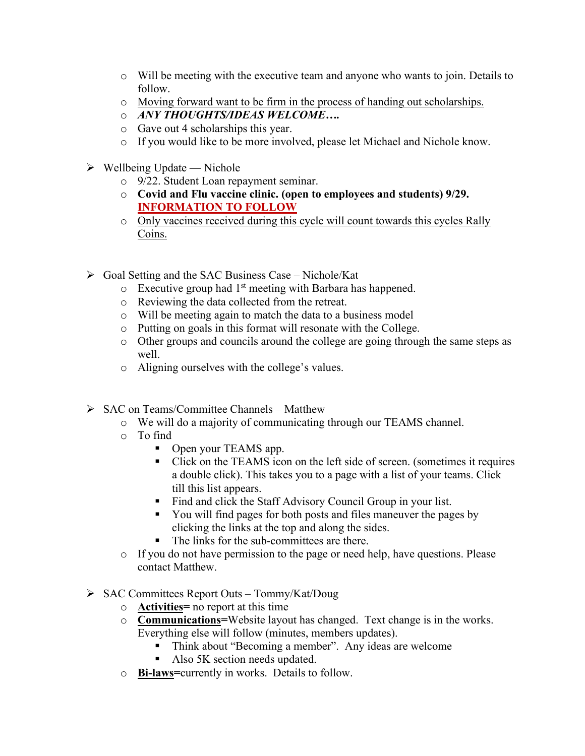- o Will be meeting with the executive team and anyone who wants to join. Details to follow.
- o Moving forward want to be firm in the process of handing out scholarships.
- o *ANY THOUGHTS/IDEAS WELCOME….*
- o Gave out 4 scholarships this year.
- o If you would like to be more involved, please let Michael and Nichole know.
- $\triangleright$  Wellbeing Update Nichole
	- o 9/22. Student Loan repayment seminar.
	- o **Covid and Flu vaccine clinic. (open to employees and students) 9/29. INFORMATION TO FOLLOW**
	- o Only vaccines received during this cycle will count towards this cycles Rally Coins.
- $\triangleright$  Goal Setting and the SAC Business Case Nichole/Kat
	- $\circ$  Executive group had 1<sup>st</sup> meeting with Barbara has happened.
	- o Reviewing the data collected from the retreat.
	- o Will be meeting again to match the data to a business model
	- o Putting on goals in this format will resonate with the College.
	- o Other groups and councils around the college are going through the same steps as well.
	- o Aligning ourselves with the college's values.
- ➢ SAC on Teams/Committee Channels Matthew
	- o We will do a majority of communicating through our TEAMS channel.
	- o To find
		- Open your TEAMS app.
		- Click on the TEAMS icon on the left side of screen. (sometimes it requires a double click). This takes you to a page with a list of your teams. Click till this list appears.
		- Find and click the Staff Advisory Council Group in your list.
		- You will find pages for both posts and files maneuver the pages by clicking the links at the top and along the sides.
		- The links for the sub-committees are there.
	- o If you do not have permission to the page or need help, have questions. Please contact Matthew.
- ➢ SAC Committees Report Outs Tommy/Kat/Doug
	- o **Activities=** no report at this time
	- o **Communications=**Website layout has changed. Text change is in the works. Everything else will follow (minutes, members updates).
		- Think about "Becoming a member". Any ideas are welcome
		- Also 5K section needs updated.
	- o **Bi-laws=**currently in works. Details to follow.